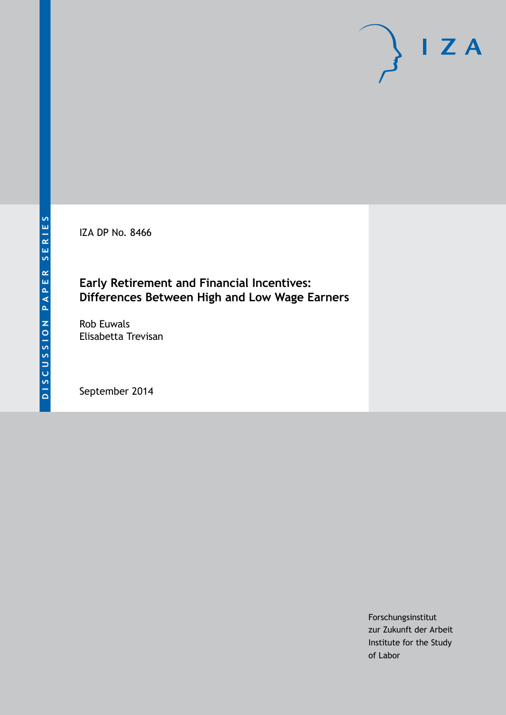IZA DP No. 8466

### **Early Retirement and Financial Incentives: Differences Between High and Low Wage Earners**

Rob Euwals Elisabetta Trevisan

September 2014

Forschungsinstitut zur Zukunft der Arbeit Institute for the Study of Labor

 $I Z A$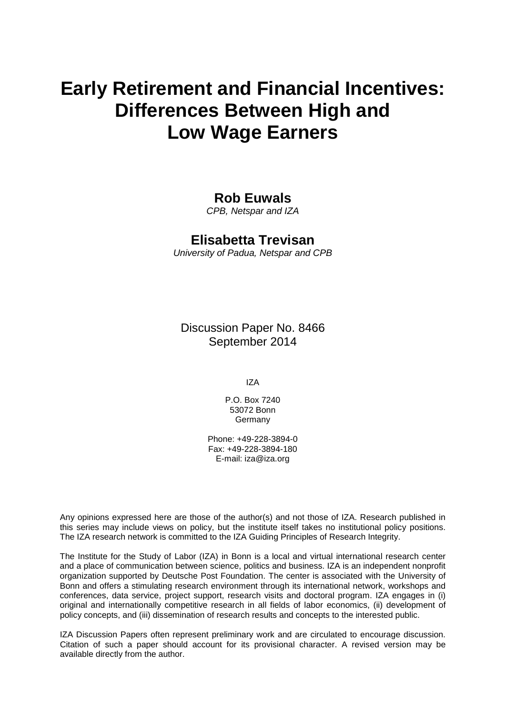# **Early Retirement and Financial Incentives: Differences Between High and Low Wage Earners**

### **Rob Euwals**

*CPB, Netspar and IZA*

### **Elisabetta Trevisan**

*University of Padua, Netspar and CPB*

Discussion Paper No. 8466 September 2014

IZA

P.O. Box 7240 53072 Bonn Germany

Phone: +49-228-3894-0 Fax: +49-228-3894-180 E-mail: [iza@iza.org](mailto:iza@iza.org)

Any opinions expressed here are those of the author(s) and not those of IZA. Research published in this series may include views on policy, but the institute itself takes no institutional policy positions. The IZA research network is committed to the IZA Guiding Principles of Research Integrity.

The Institute for the Study of Labor (IZA) in Bonn is a local and virtual international research center and a place of communication between science, politics and business. IZA is an independent nonprofit organization supported by Deutsche Post Foundation. The center is associated with the University of Bonn and offers a stimulating research environment through its international network, workshops and conferences, data service, project support, research visits and doctoral program. IZA engages in (i) original and internationally competitive research in all fields of labor economics, (ii) development of policy concepts, and (iii) dissemination of research results and concepts to the interested public.

IZA Discussion Papers often represent preliminary work and are circulated to encourage discussion. Citation of such a paper should account for its provisional character. A revised version may be available directly from the author.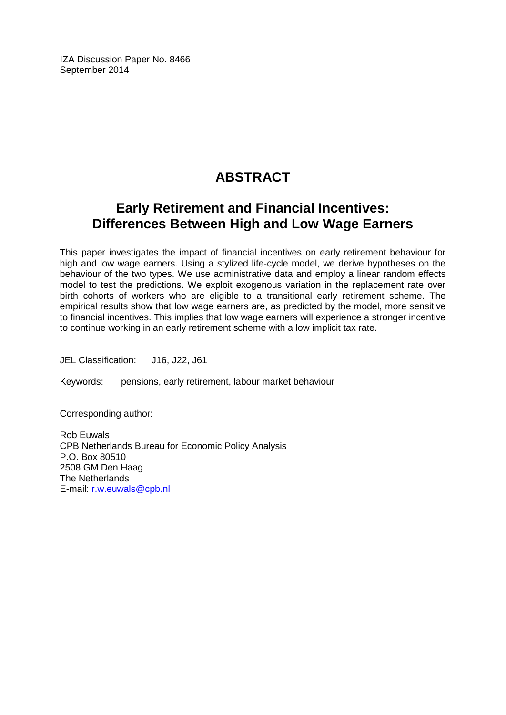IZA Discussion Paper No. 8466 September 2014

## **ABSTRACT**

# **Early Retirement and Financial Incentives: Differences Between High and Low Wage Earners**

This paper investigates the impact of financial incentives on early retirement behaviour for high and low wage earners. Using a stylized life-cycle model, we derive hypotheses on the behaviour of the two types. We use administrative data and employ a linear random effects model to test the predictions. We exploit exogenous variation in the replacement rate over birth cohorts of workers who are eligible to a transitional early retirement scheme. The empirical results show that low wage earners are, as predicted by the model, more sensitive to financial incentives. This implies that low wage earners will experience a stronger incentive to continue working in an early retirement scheme with a low implicit tax rate.

JEL Classification: J16, J22, J61

Keywords: pensions, early retirement, labour market behaviour

Corresponding author:

Rob Euwals CPB Netherlands Bureau for Economic Policy Analysis P.O. Box 80510 2508 GM Den Haag The Netherlands E-mail: [r.w.euwals@cpb.nl](mailto:r.w.euwals@cpb.nl)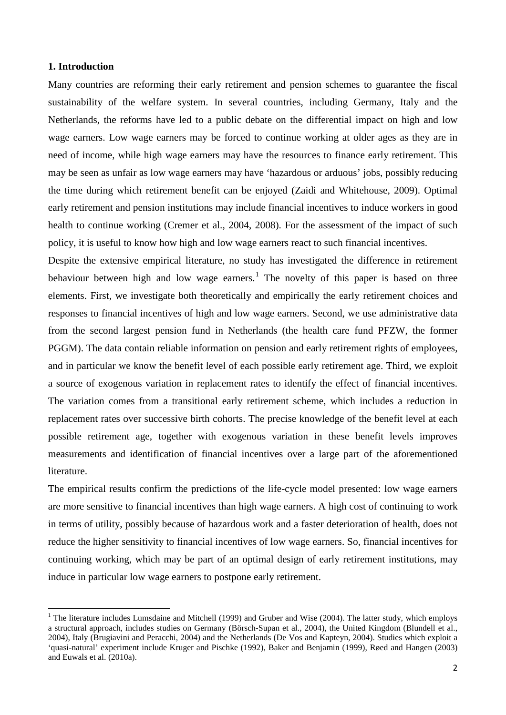#### **1. Introduction**

Many countries are reforming their early retirement and pension schemes to guarantee the fiscal sustainability of the welfare system. In several countries, including Germany, Italy and the Netherlands, the reforms have led to a public debate on the differential impact on high and low wage earners. Low wage earners may be forced to continue working at older ages as they are in need of income, while high wage earners may have the resources to finance early retirement. This may be seen as unfair as low wage earners may have 'hazardous or arduous' jobs, possibly reducing the time during which retirement benefit can be enjoyed (Zaidi and Whitehouse, 2009). Optimal early retirement and pension institutions may include financial incentives to induce workers in good health to continue working (Cremer et al., 2004, 2008). For the assessment of the impact of such policy, it is useful to know how high and low wage earners react to such financial incentives.

Despite the extensive empirical literature, no study has investigated the difference in retirement behaviour between high and low wage earners.<sup>1</sup> The novelty of this paper is based on three elements. First, we investigate both theoretically and empirically the early retirement choices and responses to financial incentives of high and low wage earners. Second, we use administrative data from the second largest pension fund in Netherlands (the health care fund PFZW, the former PGGM). The data contain reliable information on pension and early retirement rights of employees, and in particular we know the benefit level of each possible early retirement age. Third, we exploit a source of exogenous variation in replacement rates to identify the effect of financial incentives. The variation comes from a transitional early retirement scheme, which includes a reduction in replacement rates over successive birth cohorts. The precise knowledge of the benefit level at each possible retirement age, together with exogenous variation in these benefit levels improves measurements and identification of financial incentives over a large part of the aforementioned literature.

The empirical results confirm the predictions of the life-cycle model presented: low wage earners are more sensitive to financial incentives than high wage earners. A high cost of continuing to work in terms of utility, possibly because of hazardous work and a faster deterioration of health, does not reduce the higher sensitivity to financial incentives of low wage earners. So, financial incentives for continuing working, which may be part of an optimal design of early retirement institutions, may induce in particular low wage earners to postpone early retirement.

<span id="page-3-0"></span> $1$  The literature includes Lumsdaine and Mitchell (1999) and Gruber and Wise (2004). The latter study, which employs a structural approach, includes studies on Germany (Börsch-Supan et al., 2004), the United Kingdom (Blundell et al., 2004), Italy (Brugiavini and Peracchi, 2004) and the Netherlands (De Vos and Kapteyn, 2004). Studies which exploit a 'quasi-natural' experiment include Kruger and Pischke (1992), Baker and Benjamin (1999), Røed and Hangen (2003) and Euwals et al. (2010a).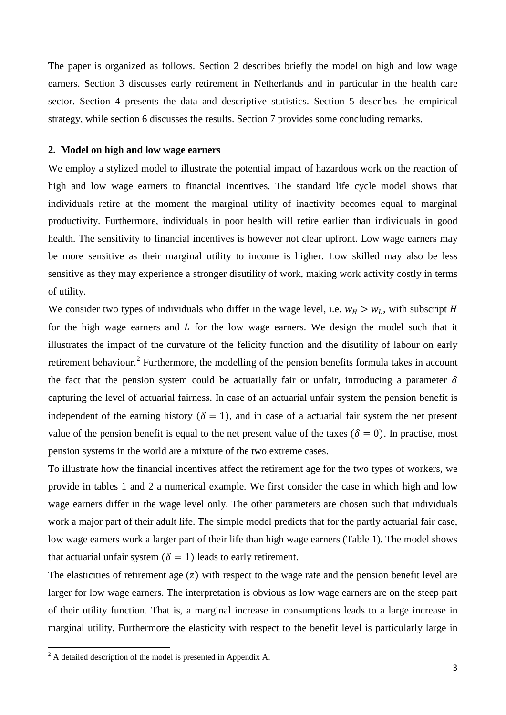The paper is organized as follows. Section 2 describes briefly the model on high and low wage earners. Section 3 discusses early retirement in Netherlands and in particular in the health care sector. Section 4 presents the data and descriptive statistics. Section 5 describes the empirical strategy, while section 6 discusses the results. Section 7 provides some concluding remarks.

#### **2. Model on high and low wage earners**

We employ a stylized model to illustrate the potential impact of hazardous work on the reaction of high and low wage earners to financial incentives. The standard life cycle model shows that individuals retire at the moment the marginal utility of inactivity becomes equal to marginal productivity. Furthermore, individuals in poor health will retire earlier than individuals in good health. The sensitivity to financial incentives is however not clear upfront. Low wage earners may be more sensitive as their marginal utility to income is higher. Low skilled may also be less sensitive as they may experience a stronger disutility of work, making work activity costly in terms of utility.

We consider two types of individuals who differ in the wage level, i.e.  $w_H > w_L$ , with subscript H for the high wage earners and  $L$  for the low wage earners. We design the model such that it illustrates the impact of the curvature of the felicity function and the disutility of labour on early retirement behaviour.<sup>[2](#page-3-0)</sup> Furthermore, the modelling of the pension benefits formula takes in account the fact that the pension system could be actuarially fair or unfair, introducing a parameter  $\delta$ capturing the level of actuarial fairness. In case of an actuarial unfair system the pension benefit is independent of the earning history ( $\delta = 1$ ), and in case of a actuarial fair system the net present value of the pension benefit is equal to the net present value of the taxes ( $\delta = 0$ ). In practise, most pension systems in the world are a mixture of the two extreme cases.

To illustrate how the financial incentives affect the retirement age for the two types of workers, we provide in tables 1 and 2 a numerical example. We first consider the case in which high and low wage earners differ in the wage level only. The other parameters are chosen such that individuals work a major part of their adult life. The simple model predicts that for the partly actuarial fair case, low wage earners work a larger part of their life than high wage earners (Table 1). The model shows that actuarial unfair system ( $\delta = 1$ ) leads to early retirement.

The elasticities of retirement age  $(z)$  with respect to the wage rate and the pension benefit level are larger for low wage earners. The interpretation is obvious as low wage earners are on the steep part of their utility function. That is, a marginal increase in consumptions leads to a large increase in marginal utility. Furthermore the elasticity with respect to the benefit level is particularly large in

<span id="page-4-0"></span><sup>2</sup> A detailed description of the model is presented in Appendix A.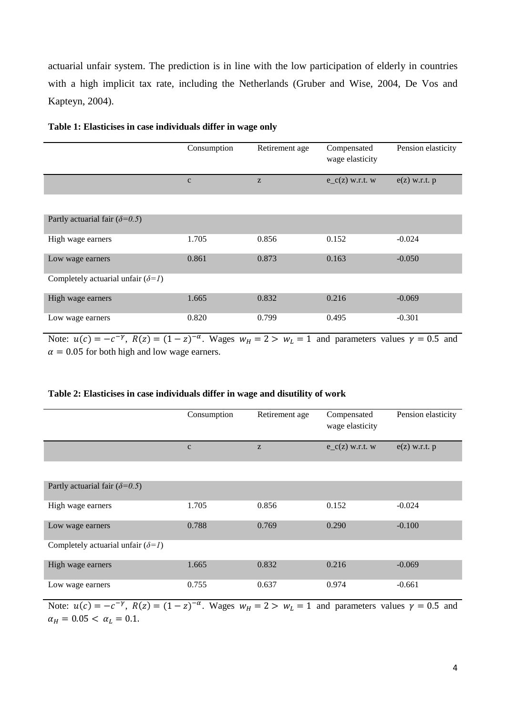actuarial unfair system. The prediction is in line with the low participation of elderly in countries with a high implicit tax rate, including the Netherlands (Gruber and Wise, 2004, De Vos and Kapteyn, 2004).

|                                                                       | Consumption                        | Retirement age                                        | Compensated<br>wage elasticity | Pension elasticity |
|-----------------------------------------------------------------------|------------------------------------|-------------------------------------------------------|--------------------------------|--------------------|
|                                                                       | $\mathbf{C}$                       | $\mathbf{Z}% ^{T}=\mathbf{Z}^{T}\times\mathbf{Z}^{T}$ | $e_{c}(z)$ w.r.t. w            | $e(z)$ w.r.t. $p$  |
|                                                                       |                                    |                                                       |                                |                    |
| Partly actuarial fair ( $\delta$ =0.5)                                |                                    |                                                       |                                |                    |
| High wage earners                                                     | 1.705                              | 0.856                                                 | 0.152                          | $-0.024$           |
| Low wage earners                                                      | 0.861                              | 0.873                                                 | 0.163                          | $-0.050$           |
| Completely actuarial unfair $(\delta=1)$                              |                                    |                                                       |                                |                    |
| High wage earners                                                     | 1.665                              | 0.832                                                 | 0.216                          | $-0.069$           |
| Low wage earners                                                      | 0.820                              | 0.799                                                 | 0.495                          | $-0.301$           |
| $\sim$ $\sim$<br>$\sim$ $\sim$ $\sim$<br>$\sim$ $\sim$ $\sim$<br>$ -$ | $\sim$ $\sim$ $\sim$ $\sim$ $\sim$ |                                                       |                                | $\sim$ $-$         |

#### **Table 1: Elasticises in case individuals differ in wage only**

Note:  $u(c) = -c^{-\gamma}$ ,  $R(z) = (1-z)^{-\alpha}$ . Wages  $w_H = 2 > w_L = 1$  and parameters values  $\gamma = 0.5$  and  $\alpha$  = 0.05 for both high and low wage earners.

#### **Table 2: Elasticises in case individuals differ in wage and disutility of work**

|                                          | Consumption | Retirement age | Compensated<br>wage elasticity | Pension elasticity |
|------------------------------------------|-------------|----------------|--------------------------------|--------------------|
|                                          | $\mathbf c$ | Z              | $e_{c}(z)$ w.r.t. w            | $e(z)$ w.r.t. $p$  |
|                                          |             |                |                                |                    |
| Partly actuarial fair $(\delta=0.5)$     |             |                |                                |                    |
| High wage earners                        | 1.705       | 0.856          | 0.152                          | $-0.024$           |
| Low wage earners                         | 0.788       | 0.769          | 0.290                          | $-0.100$           |
| Completely actuarial unfair $(\delta=1)$ |             |                |                                |                    |
| High wage earners                        | 1.665       | 0.832          | 0.216                          | $-0.069$           |
| Low wage earners                         | 0.755       | 0.637          | 0.974                          | $-0.661$           |

Note:  $u(c) = -c^{-\gamma}$ ,  $R(z) = (1-z)^{-\alpha}$ . Wages  $w_H = 2 > w_L = 1$  and parameters values  $\gamma = 0.5$  and  $\alpha_H = 0.05 < \alpha_L = 0.1.$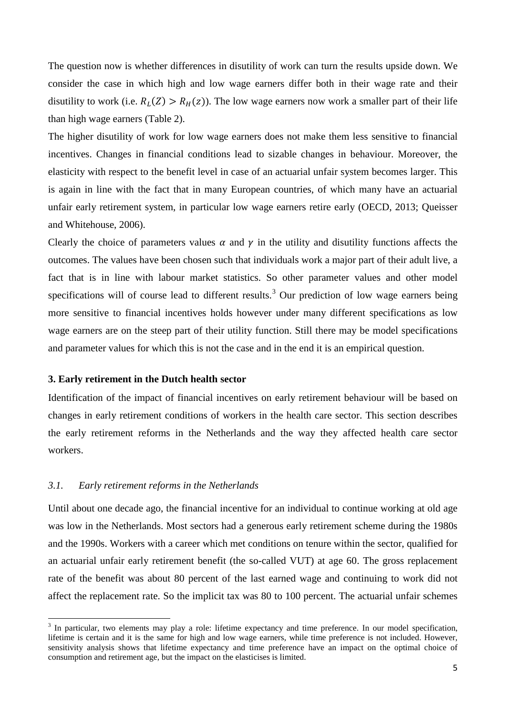The question now is whether differences in disutility of work can turn the results upside down. We consider the case in which high and low wage earners differ both in their wage rate and their disutility to work (i.e.  $R_L(Z) > R_H(z)$ ). The low wage earners now work a smaller part of their life than high wage earners (Table 2).

The higher disutility of work for low wage earners does not make them less sensitive to financial incentives. Changes in financial conditions lead to sizable changes in behaviour. Moreover, the elasticity with respect to the benefit level in case of an actuarial unfair system becomes larger. This is again in line with the fact that in many European countries, of which many have an actuarial unfair early retirement system, in particular low wage earners retire early (OECD, 2013; Queisser and Whitehouse, 2006).

Clearly the choice of parameters values  $\alpha$  and  $\gamma$  in the utility and disutility functions affects the outcomes. The values have been chosen such that individuals work a major part of their adult live, a fact that is in line with labour market statistics. So other parameter values and other model specifications will of course lead to different results.<sup>[3](#page-4-0)</sup> Our prediction of low wage earners being more sensitive to financial incentives holds however under many different specifications as low wage earners are on the steep part of their utility function. Still there may be model specifications and parameter values for which this is not the case and in the end it is an empirical question.

#### **3. Early retirement in the Dutch health sector**

Identification of the impact of financial incentives on early retirement behaviour will be based on changes in early retirement conditions of workers in the health care sector. This section describes the early retirement reforms in the Netherlands and the way they affected health care sector workers.

#### *3.1. Early retirement reforms in the Netherlands*

Until about one decade ago, the financial incentive for an individual to continue working at old age was low in the Netherlands. Most sectors had a generous early retirement scheme during the 1980s and the 1990s. Workers with a career which met conditions on tenure within the sector, qualified for an actuarial unfair early retirement benefit (the so-called VUT) at age 60. The gross replacement rate of the benefit was about 80 percent of the last earned wage and continuing to work did not affect the replacement rate. So the implicit tax was 80 to 100 percent. The actuarial unfair schemes

<span id="page-6-0"></span><sup>&</sup>lt;sup>3</sup> In particular, two elements may play a role: lifetime expectancy and time preference. In our model specification, lifetime is certain and it is the same for high and low wage earners, while time preference is not included. However, sensitivity analysis shows that lifetime expectancy and time preference have an impact on the optimal choice of consumption and retirement age, but the impact on the elasticises is limited.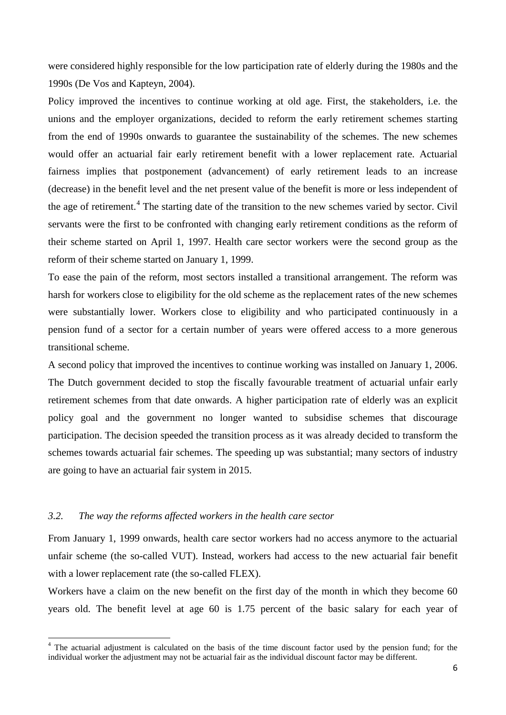were considered highly responsible for the low participation rate of elderly during the 1980s and the 1990s (De Vos and Kapteyn, 2004).

Policy improved the incentives to continue working at old age. First, the stakeholders, i.e. the unions and the employer organizations, decided to reform the early retirement schemes starting from the end of 1990s onwards to guarantee the sustainability of the schemes. The new schemes would offer an actuarial fair early retirement benefit with a lower replacement rate. Actuarial fairness implies that postponement (advancement) of early retirement leads to an increase (decrease) in the benefit level and the net present value of the benefit is more or less independent of the age of retirement.<sup>[4](#page-6-0)</sup> The starting date of the transition to the new schemes varied by sector. Civil servants were the first to be confronted with changing early retirement conditions as the reform of their scheme started on April 1, 1997. Health care sector workers were the second group as the reform of their scheme started on January 1, 1999.

To ease the pain of the reform, most sectors installed a transitional arrangement. The reform was harsh for workers close to eligibility for the old scheme as the replacement rates of the new schemes were substantially lower. Workers close to eligibility and who participated continuously in a pension fund of a sector for a certain number of years were offered access to a more generous transitional scheme.

A second policy that improved the incentives to continue working was installed on January 1, 2006. The Dutch government decided to stop the fiscally favourable treatment of actuarial unfair early retirement schemes from that date onwards. A higher participation rate of elderly was an explicit policy goal and the government no longer wanted to subsidise schemes that discourage participation. The decision speeded the transition process as it was already decided to transform the schemes towards actuarial fair schemes. The speeding up was substantial; many sectors of industry are going to have an actuarial fair system in 2015.

#### *3.2. The way the reforms affected workers in the health care sector*

From January 1, 1999 onwards, health care sector workers had no access anymore to the actuarial unfair scheme (the so-called VUT). Instead, workers had access to the new actuarial fair benefit with a lower replacement rate (the so-called FLEX).

Workers have a claim on the new benefit on the first day of the month in which they become 60 years old. The benefit level at age 60 is 1.75 percent of the basic salary for each year of

<span id="page-7-0"></span><sup>&</sup>lt;sup>4</sup> The actuarial adjustment is calculated on the basis of the time discount factor used by the pension fund; for the individual worker the adjustment may not be actuarial fair as the individual discount factor may be different.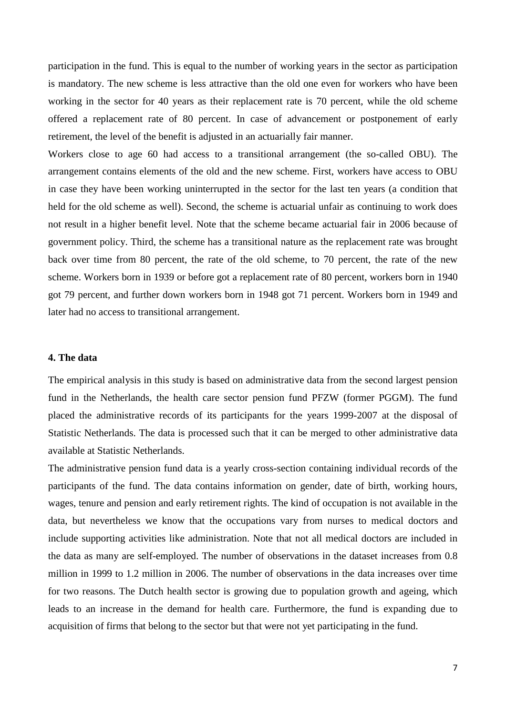participation in the fund. This is equal to the number of working years in the sector as participation is mandatory. The new scheme is less attractive than the old one even for workers who have been working in the sector for 40 years as their replacement rate is 70 percent, while the old scheme offered a replacement rate of 80 percent. In case of advancement or postponement of early retirement, the level of the benefit is adjusted in an actuarially fair manner.

Workers close to age 60 had access to a transitional arrangement (the so-called OBU). The arrangement contains elements of the old and the new scheme. First, workers have access to OBU in case they have been working uninterrupted in the sector for the last ten years (a condition that held for the old scheme as well). Second, the scheme is actuarial unfair as continuing to work does not result in a higher benefit level. Note that the scheme became actuarial fair in 2006 because of government policy. Third, the scheme has a transitional nature as the replacement rate was brought back over time from 80 percent, the rate of the old scheme, to 70 percent, the rate of the new scheme. Workers born in 1939 or before got a replacement rate of 80 percent, workers born in 1940 got 79 percent, and further down workers born in 1948 got 71 percent. Workers born in 1949 and later had no access to transitional arrangement.

#### **4. The data**

The empirical analysis in this study is based on administrative data from the second largest pension fund in the Netherlands, the health care sector pension fund PFZW (former PGGM). The fund placed the administrative records of its participants for the years 1999-2007 at the disposal of Statistic Netherlands. The data is processed such that it can be merged to other administrative data available at Statistic Netherlands.

The administrative pension fund data is a yearly cross-section containing individual records of the participants of the fund. The data contains information on gender, date of birth, working hours, wages, tenure and pension and early retirement rights. The kind of occupation is not available in the data, but nevertheless we know that the occupations vary from nurses to medical doctors and include supporting activities like administration. Note that not all medical doctors are included in the data as many are self-employed. The number of observations in the dataset increases from 0.8 million in 1999 to 1.2 million in 2006. The number of observations in the data increases over time for two reasons. The Dutch health sector is growing due to population growth and ageing, which leads to an increase in the demand for health care. Furthermore, the fund is expanding due to acquisition of firms that belong to the sector but that were not yet participating in the fund.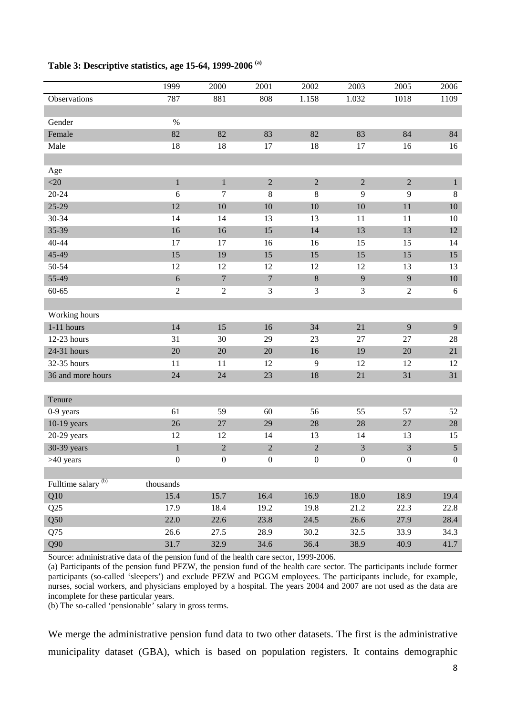#### **Table 3: Descriptive statistics, age 15-64, 1999-2006 (a)**

|                                | 1999             | 2000             | 2001             | 2002             | 2003             | 2005           | 2006         |
|--------------------------------|------------------|------------------|------------------|------------------|------------------|----------------|--------------|
| Observations                   | 787              | 881              | 808              | 1.158            | 1.032            | 1018           | 1109         |
|                                |                  |                  |                  |                  |                  |                |              |
| Gender                         | $\%$             |                  |                  |                  |                  |                |              |
| Female                         | 82               | 82               | 83               | 82               | 83               | 84             | 84           |
| Male                           | 18               | 18               | 17               | 18               | 17               | 16             | 16           |
|                                |                  |                  |                  |                  |                  |                |              |
| Age                            |                  |                  |                  |                  |                  |                |              |
| $<$ 20                         | $\mathbf{1}$     | $\mathbf{1}$     | $\sqrt{2}$       | $\sqrt{2}$       | $\boldsymbol{2}$ | $\sqrt{2}$     | $\mathbf{1}$ |
| $20 - 24$                      | 6                | 7                | 8                | 8                | 9                | 9              | $\,8\,$      |
| $25-29$                        | 12               | 10               | 10               | $10\,$           | 10               | 11             | $10\,$       |
| 30-34                          | 14               | 14               | 13               | 13               | 11               | 11             | 10           |
| 35-39                          | 16               | 16               | 15               | 14               | 13               | 13             | $12\,$       |
| 40-44                          | 17               | 17               | 16               | 16               | 15               | 15             | 14           |
| 45-49                          | 15               | 19               | 15               | 15               | 15               | 15             | 15           |
| 50-54                          | 12               | 12               | 12               | 12               | 12               | 13             | 13           |
| 55-49                          | $\sqrt{6}$       | $\boldsymbol{7}$ | $\boldsymbol{7}$ | $\,8\,$          | $\overline{9}$   | 9              | $10\,$       |
| $60 - 65$                      | $\sqrt{2}$       | $\sqrt{2}$       | 3                | 3                | 3                | $\overline{2}$ | 6            |
|                                |                  |                  |                  |                  |                  |                |              |
| Working hours                  |                  |                  |                  |                  |                  |                |              |
| $1-11$ hours                   | 14               | 15               | 16               | 34               | 21               | 9              | 9            |
| 12-23 hours                    | 31               | 30               | 29               | 23               | $27\,$           | 27             | 28           |
| 24-31 hours                    | 20               | 20               | 20               | 16               | 19               | 20             | 21           |
| 32-35 hours                    | 11               | 11               | 12               | 9                | 12               | 12             | 12           |
| 36 and more hours              | 24               | 24               | 23               | 18               | 21               | 31             | 31           |
|                                |                  |                  |                  |                  |                  |                |              |
| Tenure                         |                  |                  |                  |                  |                  |                |              |
| 0-9 years                      | 61               | 59               | 60               | 56               | 55               | 57             | 52           |
| $10-19$ years                  | 26               | 27               | 29               | 28               | 28               | $27\,$         | 28           |
| $20-29$ years                  | 12               | 12               | 14               | 13               | 14               | 13             | 15           |
| 30-39 years                    | $\,1$            | $\overline{2}$   | $\overline{2}$   | $\sqrt{2}$       | $\mathfrak{Z}$   | $\mathfrak{Z}$ | $\sqrt{5}$   |
| >40 years                      | $\boldsymbol{0}$ | $\boldsymbol{0}$ | $\boldsymbol{0}$ | $\boldsymbol{0}$ | $\boldsymbol{0}$ | $\mathbf{0}$   | $\mathbf{0}$ |
|                                |                  |                  |                  |                  |                  |                |              |
| Fulltime salary <sup>(b)</sup> | thousands        |                  |                  |                  |                  |                |              |
| Q10                            | 15.4             | 15.7             | 16.4             | 16.9             | 18.0             | 18.9           | 19.4         |
| Q25                            | 17.9             | 18.4             | 19.2             | 19.8             | 21.2             | 22.3           | 22.8         |
| Q50                            | 22.0             | 22.6             | 23.8             | 24.5             | 26.6             | 27.9           | 28.4         |
| Q75                            | 26.6             | 27.5             | 28.9             | 30.2             | 32.5             | 33.9           | 34.3         |
| Q90                            | 31.7             | 32.9             | 34.6             | 36.4             | 38.9             | 40.9           | 41.7         |

Source: administrative data of the pension fund of the health care sector, 1999-2006.

(a) Participants of the pension fund PFZW, the pension fund of the health care sector. The participants include former participants (so-called 'sleepers') and exclude PFZW and PGGM employees. The participants include, for example, nurses, social workers, and physicians employed by a hospital. The years 2004 and 2007 are not used as the data are incomplete for these particular years.

(b) The so-called 'pensionable' salary in gross terms.

We merge the administrative pension fund data to two other datasets. The first is the administrative municipality dataset (GBA), which is based on population registers. It contains demographic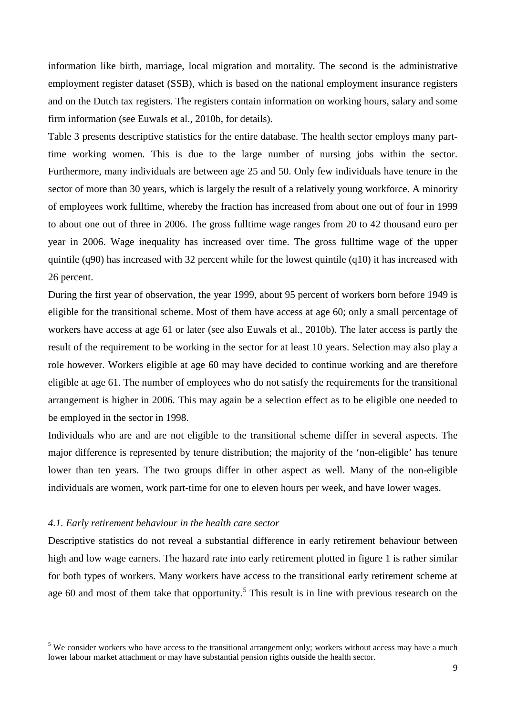information like birth, marriage, local migration and mortality. The second is the administrative employment register dataset (SSB), which is based on the national employment insurance registers and on the Dutch tax registers. The registers contain information on working hours, salary and some firm information (see Euwals et al., 2010b, for details).

Table 3 presents descriptive statistics for the entire database. The health sector employs many parttime working women. This is due to the large number of nursing jobs within the sector. Furthermore, many individuals are between age 25 and 50. Only few individuals have tenure in the sector of more than 30 years, which is largely the result of a relatively young workforce. A minority of employees work fulltime, whereby the fraction has increased from about one out of four in 1999 to about one out of three in 2006. The gross fulltime wage ranges from 20 to 42 thousand euro per year in 2006. Wage inequality has increased over time. The gross fulltime wage of the upper quintile (q90) has increased with 32 percent while for the lowest quintile (q10) it has increased with 26 percent.

During the first year of observation, the year 1999, about 95 percent of workers born before 1949 is eligible for the transitional scheme. Most of them have access at age 60; only a small percentage of workers have access at age 61 or later (see also Euwals et al., 2010b). The later access is partly the result of the requirement to be working in the sector for at least 10 years. Selection may also play a role however. Workers eligible at age 60 may have decided to continue working and are therefore eligible at age 61. The number of employees who do not satisfy the requirements for the transitional arrangement is higher in 2006. This may again be a selection effect as to be eligible one needed to be employed in the sector in 1998.

Individuals who are and are not eligible to the transitional scheme differ in several aspects. The major difference is represented by tenure distribution; the majority of the 'non-eligible' has tenure lower than ten years. The two groups differ in other aspect as well. Many of the non-eligible individuals are women, work part-time for one to eleven hours per week, and have lower wages.

#### *4.1. Early retirement behaviour in the health care sector*

Descriptive statistics do not reveal a substantial difference in early retirement behaviour between high and low wage earners. The hazard rate into early retirement plotted in figure 1 is rather similar for both types of workers. Many workers have access to the transitional early retirement scheme at age 60 and most of them take that opportunity.<sup>[5](#page-7-0)</sup> This result is in line with previous research on the

<span id="page-10-0"></span><sup>&</sup>lt;sup>5</sup> We consider workers who have access to the transitional arrangement only; workers without access may have a much lower labour market attachment or may have substantial pension rights outside the health sector.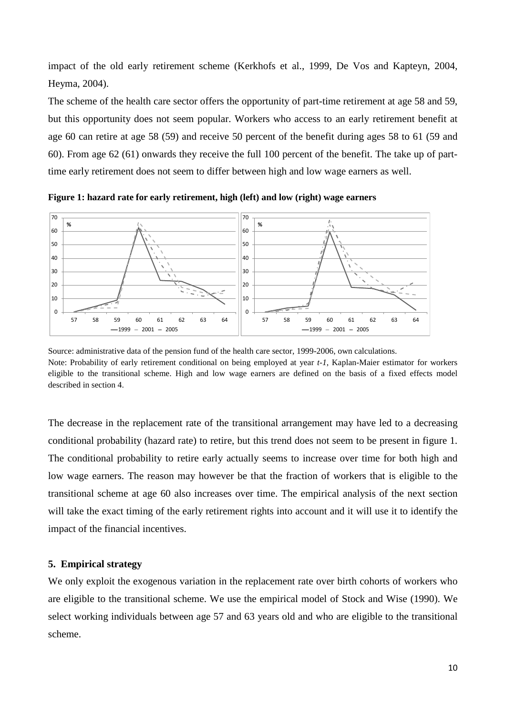impact of the old early retirement scheme (Kerkhofs et al., 1999, De Vos and Kapteyn, 2004, Heyma, 2004).

The scheme of the health care sector offers the opportunity of part-time retirement at age 58 and 59, but this opportunity does not seem popular. Workers who access to an early retirement benefit at age 60 can retire at age 58 (59) and receive 50 percent of the benefit during ages 58 to 61 (59 and 60). From age 62 (61) onwards they receive the full 100 percent of the benefit. The take up of parttime early retirement does not seem to differ between high and low wage earners as well.



**Figure 1: hazard rate for early retirement, high (left) and low (right) wage earners** 

The decrease in the replacement rate of the transitional arrangement may have led to a decreasing conditional probability (hazard rate) to retire, but this trend does not seem to be present in figure 1. The conditional probability to retire early actually seems to increase over time for both high and low wage earners. The reason may however be that the fraction of workers that is eligible to the transitional scheme at age 60 also increases over time. The empirical analysis of the next section will take the exact timing of the early retirement rights into account and it will use it to identify the impact of the financial incentives.

#### **5. Empirical strategy**

We only exploit the exogenous variation in the replacement rate over birth cohorts of workers who are eligible to the transitional scheme. We use the empirical model of Stock and Wise (1990). We select working individuals between age 57 and 63 years old and who are eligible to the transitional scheme.

Source: administrative data of the pension fund of the health care sector, 1999-2006, own calculations. Note: Probability of early retirement conditional on being employed at year *t-1*, Kaplan-Maier estimator for workers eligible to the transitional scheme. High and low wage earners are defined on the basis of a fixed effects model described in section 4.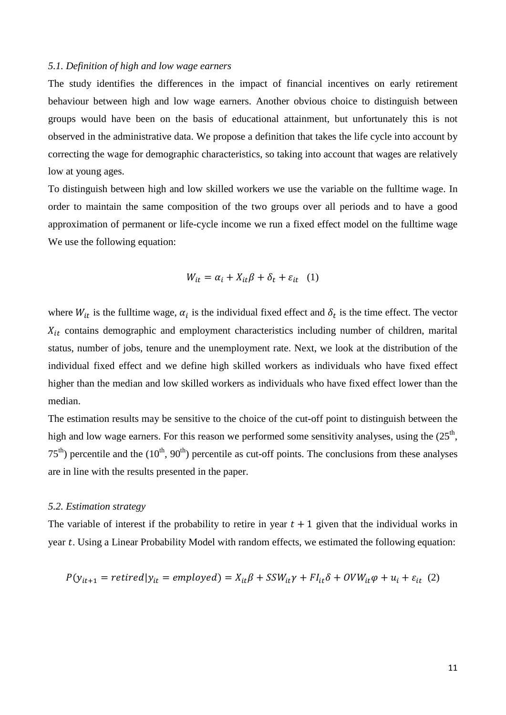#### *5.1. Definition of high and low wage earners*

The study identifies the differences in the impact of financial incentives on early retirement behaviour between high and low wage earners. Another obvious choice to distinguish between groups would have been on the basis of educational attainment, but unfortunately this is not observed in the administrative data. We propose a definition that takes the life cycle into account by correcting the wage for demographic characteristics, so taking into account that wages are relatively low at young ages.

To distinguish between high and low skilled workers we use the variable on the fulltime wage. In order to maintain the same composition of the two groups over all periods and to have a good approximation of permanent or life-cycle income we run a fixed effect model on the fulltime wage We use the following equation:

$$
W_{it} = \alpha_i + X_{it}\beta + \delta_t + \varepsilon_{it} \quad (1)
$$

where  $W_{it}$  is the fulltime wage,  $\alpha_i$  is the individual fixed effect and  $\delta_t$  is the time effect. The vector  $X_{it}$  contains demographic and employment characteristics including number of children, marital status, number of jobs, tenure and the unemployment rate. Next, we look at the distribution of the individual fixed effect and we define high skilled workers as individuals who have fixed effect higher than the median and low skilled workers as individuals who have fixed effect lower than the median.

The estimation results may be sensitive to the choice of the cut-off point to distinguish between the high and low wage earners. For this reason we performed some sensitivity analyses, using the  $(25<sup>th</sup>$ ,  $75<sup>th</sup>$ ) percentile and the (10<sup>th</sup>, 90<sup>th</sup>) percentile as cut-off points. The conclusions from these analyses are in line with the results presented in the paper.

#### *5.2. Estimation strategy*

The variable of interest if the probability to retire in year  $t + 1$  given that the individual works in year  $t$ . Using a Linear Probability Model with random effects, we estimated the following equation:

$$
P(y_{it+1} = retired|y_{it} = employed) = X_{it}\beta + SSW_{it}\gamma + Fl_{it}\delta + OVW_{it}\phi + u_i + \varepsilon_{it} (2)
$$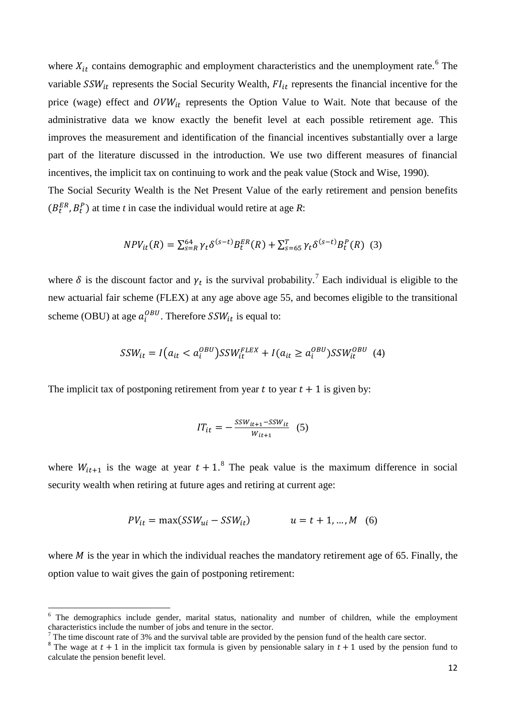where  $X_{it}$  contains demographic and employment characteristics and the unemployment rate.<sup>[6](#page-10-0)</sup> The variable  $SSW_{it}$  represents the Social Security Wealth,  $FI_{it}$  represents the financial incentive for the price (wage) effect and  $OVW_{it}$  represents the Option Value to Wait. Note that because of the administrative data we know exactly the benefit level at each possible retirement age. This improves the measurement and identification of the financial incentives substantially over a large part of the literature discussed in the introduction. We use two different measures of financial incentives, the implicit tax on continuing to work and the peak value (Stock and Wise, 1990).

The Social Security Wealth is the Net Present Value of the early retirement and pension benefits  $(B_t^{ER}, B_t^P)$  at time *t* in case the individual would retire at age *R*:

$$
NPV_{it}(R) = \sum_{s=R}^{64} \gamma_t \delta^{(s-t)} B_t^{ER}(R) + \sum_{s=65}^{T} \gamma_t \delta^{(s-t)} B_t^P(R)
$$
 (3)

where  $\delta$  is the discount factor and  $\gamma_t$  is the survival probability.<sup>[7](#page-13-0)</sup> Each individual is eligible to the new actuarial fair scheme (FLEX) at any age above age 55, and becomes eligible to the transitional scheme (OBU) at age  $a_i^{OBU}$ . Therefore  $SSW_{it}$  is equal to:

$$
SSW_{it} = I\left(a_{it} < a_i^{OBU}\right)SSW_{it}^{FLEX} + I\left(a_{it} \ge a_i^{OBU}\right)SSW_{it}^{OBU} \tag{4}
$$

The implicit tax of postponing retirement from year  $t$  to year  $t + 1$  is given by:

$$
IT_{it} = -\frac{SSW_{it+1} - SSW_{it}}{W_{it+1}} \quad (5)
$$

where  $W_{it+1}$  is the wage at year  $t + 1$ .<sup>[8](#page-13-1)</sup> The peak value is the maximum difference in social security wealth when retiring at future ages and retiring at current age:

$$
PV_{it} = \max(SSW_{ui} - SSW_{it}) \qquad u = t + 1, ..., M \quad (6)
$$

where  $M$  is the year in which the individual reaches the mandatory retirement age of 65. Finally, the option value to wait gives the gain of postponing retirement:

 $6$  The demographics include gender, marital status, nationality and number of children, while the employment characteristics include the number of jobs and tenure in the sector.

The time discount rate of 3% and the survival table are provided by the pension fund of the health care sector.

<span id="page-13-2"></span><span id="page-13-1"></span><span id="page-13-0"></span><sup>&</sup>lt;sup>8</sup> The wage at  $t + 1$  in the implicit tax formula is given by pensionable salary in  $t + 1$  used by the pension fund to calculate the pension benefit level.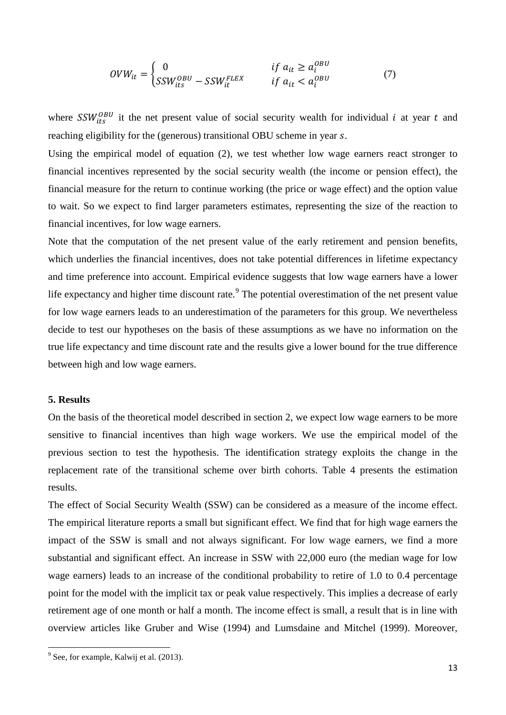$$
OVW_{it} = \begin{cases} 0 & \text{if } a_{it} \ge a_i^{OBU} \\ SSW_{its}^{OBU} - SSW_{it}^{FLEX} & \text{if } a_{it} < a_i^{OBU} \end{cases} \tag{7}
$$

where  $SSW_{its}^{OBU}$  it the net present value of social security wealth for individual *i* at year *t* and reaching eligibility for the (generous) transitional OBU scheme in year s.

Using the empirical model of equation (2), we test whether low wage earners react stronger to financial incentives represented by the social security wealth (the income or pension effect), the financial measure for the return to continue working (the price or wage effect) and the option value to wait. So we expect to find larger parameters estimates, representing the size of the reaction to financial incentives, for low wage earners.

Note that the computation of the net present value of the early retirement and pension benefits, which underlies the financial incentives, does not take potential differences in lifetime expectancy and time preference into account. Empirical evidence suggests that low wage earners have a lower life expectancy and higher time discount rate.<sup>[9](#page-13-2)</sup> The potential overestimation of the net present value for low wage earners leads to an underestimation of the parameters for this group. We nevertheless decide to test our hypotheses on the basis of these assumptions as we have no information on the true life expectancy and time discount rate and the results give a lower bound for the true difference between high and low wage earners.

#### **5. Results**

On the basis of the theoretical model described in section 2, we expect low wage earners to be more sensitive to financial incentives than high wage workers. We use the empirical model of the previous section to test the hypothesis. The identification strategy exploits the change in the replacement rate of the transitional scheme over birth cohorts. Table 4 presents the estimation results.

The effect of Social Security Wealth (SSW) can be considered as a measure of the income effect. The empirical literature reports a small but significant effect. We find that for high wage earners the impact of the SSW is small and not always significant. For low wage earners, we find a more substantial and significant effect. An increase in SSW with 22,000 euro (the median wage for low wage earners) leads to an increase of the conditional probability to retire of 1.0 to 0.4 percentage point for the model with the implicit tax or peak value respectively. This implies a decrease of early retirement age of one month or half a month. The income effect is small, a result that is in line with overview articles like Gruber and Wise (1994) and Lumsdaine and Mitchel (1999). Moreover,

<span id="page-14-0"></span><sup>&</sup>lt;sup>9</sup> See, for example, Kalwij et al. (2013).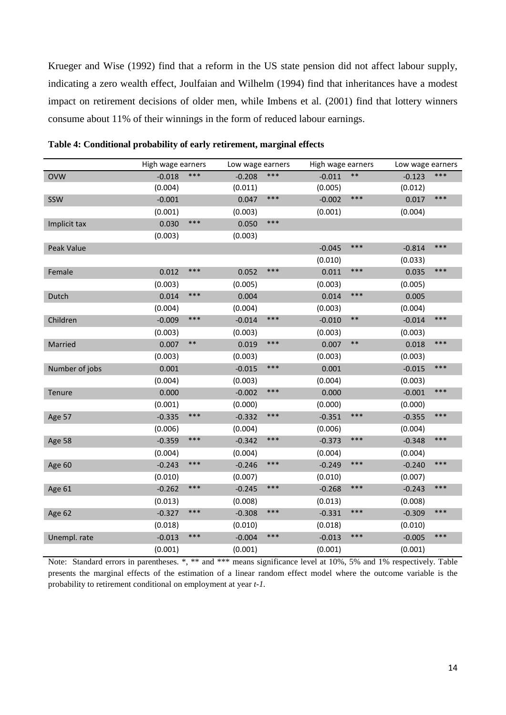Krueger and Wise (1992) find that a reform in the US state pension did not affect labour supply, indicating a zero wealth effect, Joulfaian and Wilhelm (1994) find that inheritances have a modest impact on retirement decisions of older men, while Imbens et al. (2001) find that lottery winners consume about 11% of their winnings in the form of reduced labour earnings.

|                | High wage earners |       |          | Low wage earners |          | High wage earners |          | Low wage earners |  |
|----------------|-------------------|-------|----------|------------------|----------|-------------------|----------|------------------|--|
| <b>OVW</b>     | $-0.018$          | $***$ | $-0.208$ | ***              | $-0.011$ | $***$             | $-0.123$ | $***$            |  |
|                | (0.004)           |       | (0.011)  |                  | (0.005)  |                   | (0.012)  |                  |  |
| SSW            | $-0.001$          |       | 0.047    | $***$            | $-0.002$ | ***               | 0.017    | $***$            |  |
|                | (0.001)           |       | (0.003)  |                  | (0.001)  |                   | (0.004)  |                  |  |
| Implicit tax   | 0.030             | ***   | 0.050    | ***              |          |                   |          |                  |  |
|                | (0.003)           |       | (0.003)  |                  |          |                   |          |                  |  |
| Peak Value     |                   |       |          |                  | $-0.045$ | ***               | $-0.814$ | ***              |  |
|                |                   |       |          |                  | (0.010)  |                   | (0.033)  |                  |  |
| Female         | 0.012             | ***   | 0.052    | ***              | 0.011    | ***               | 0.035    | ***              |  |
|                | (0.003)           |       | (0.005)  |                  | (0.003)  |                   | (0.005)  |                  |  |
| Dutch          | 0.014             | ***   | 0.004    |                  | 0.014    | ***               | 0.005    |                  |  |
|                | (0.004)           |       | (0.004)  |                  | (0.003)  |                   | (0.004)  |                  |  |
| Children       | $-0.009$          | ***   | $-0.014$ | ***              | $-0.010$ | $***$             | $-0.014$ | ***              |  |
|                | (0.003)           |       | (0.003)  |                  | (0.003)  |                   | (0.003)  |                  |  |
| Married        | 0.007             | $***$ | 0.019    | $***$            | 0.007    | $***$             | 0.018    | ***              |  |
|                | (0.003)           |       | (0.003)  |                  | (0.003)  |                   | (0.003)  |                  |  |
| Number of jobs | 0.001             |       | $-0.015$ | $***$            | 0.001    |                   | $-0.015$ | ***              |  |
|                | (0.004)           |       | (0.003)  |                  | (0.004)  |                   | (0.003)  |                  |  |
| Tenure         | 0.000             |       | $-0.002$ | ***              | 0.000    |                   | $-0.001$ | ***              |  |
|                | (0.001)           |       | (0.000)  |                  | (0.000)  |                   | (0.000)  |                  |  |
| Age 57         | $-0.335$          | ***   | $-0.332$ | ***              | $-0.351$ | ***               | $-0.355$ | ***              |  |
|                | (0.006)           |       | (0.004)  |                  | (0.006)  |                   | (0.004)  |                  |  |
| Age 58         | $-0.359$          | ***   | $-0.342$ | $***$            | $-0.373$ | ***               | $-0.348$ | ***              |  |
|                | (0.004)           |       | (0.004)  |                  | (0.004)  |                   | (0.004)  |                  |  |
| Age 60         | $-0.243$          | ***   | $-0.246$ | ***              | $-0.249$ | ***               | $-0.240$ | $***$            |  |
|                | (0.010)           |       | (0.007)  |                  | (0.010)  |                   | (0.007)  |                  |  |
| Age 61         | $-0.262$          | ***   | $-0.245$ | ***              | $-0.268$ | ***               | $-0.243$ | ***              |  |
|                | (0.013)           |       | (0.008)  |                  | (0.013)  |                   | (0.008)  |                  |  |
| Age 62         | $-0.327$          | ***   | $-0.308$ | ***              | $-0.331$ | ***               | $-0.309$ | $***$            |  |
|                | (0.018)           |       | (0.010)  |                  | (0.018)  |                   | (0.010)  |                  |  |
| Unempl. rate   | $-0.013$          | ***   | $-0.004$ | ***              | $-0.013$ | ***               | $-0.005$ | ***              |  |
|                | (0.001)           |       | (0.001)  |                  | (0.001)  |                   | (0.001)  |                  |  |

**Table 4: Conditional probability of early retirement, marginal effects** 

Note: Standard errors in parentheses. \*, \*\* and \*\*\* means significance level at 10%, 5% and 1% respectively. Table presents the marginal effects of the estimation of a linear random effect model where the outcome variable is the probability to retirement conditional on employment at year *t-1.*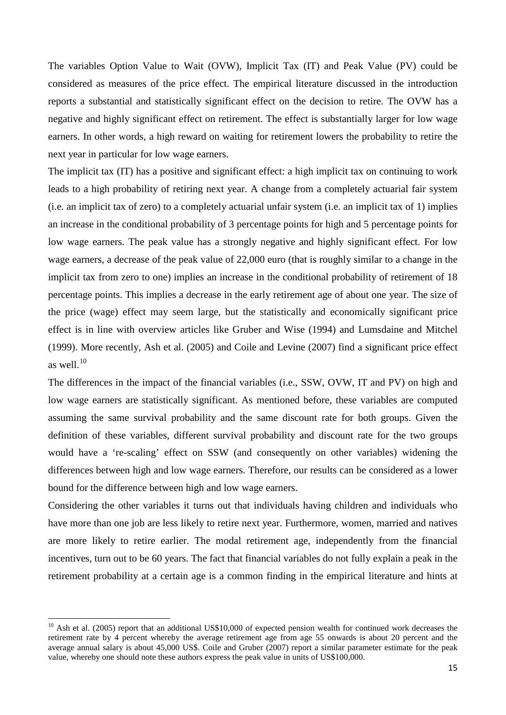The variables Option Value to Wait (OVW), Implicit Tax (IT) and Peak Value (PV) could be considered as measures of the price effect. The empirical literature discussed in the introduction reports a substantial and statistically significant effect on the decision to retire. The OVW has a negative and highly significant effect on retirement. The effect is substantially larger for low wage earners. In other words, a high reward on waiting for retirement lowers the probability to retire the next year in particular for low wage earners.

The implicit tax (IT) has a positive and significant effect: a high implicit tax on continuing to work leads to a high probability of retiring next year. A change from a completely actuarial fair system (i.e. an implicit tax of zero) to a completely actuarial unfair system (i.e. an implicit tax of 1) implies an increase in the conditional probability of 3 percentage points for high and 5 percentage points for low wage earners. The peak value has a strongly negative and highly significant effect. For low wage earners, a decrease of the peak value of 22,000 euro (that is roughly similar to a change in the implicit tax from zero to one) implies an increase in the conditional probability of retirement of 18 percentage points. This implies a decrease in the early retirement age of about one year. The size of the price (wage) effect may seem large, but the statistically and economically significant price effect is in line with overview articles like Gruber and Wise (1994) and Lumsdaine and Mitchel (1999). More recently, Ash et al. (2005) and Coile and Levine (2007) find a significant price effect as well. $^{10}$  $^{10}$  $^{10}$ 

The differences in the impact of the financial variables (i.e., SSW, OVW, IT and PV) on high and low wage earners are statistically significant. As mentioned before, these variables are computed assuming the same survival probability and the same discount rate for both groups. Given the definition of these variables, different survival probability and discount rate for the two groups would have a 're-scaling' effect on SSW (and consequently on other variables) widening the differences between high and low wage earners. Therefore, our results can be considered as a lower bound for the difference between high and low wage earners.

Considering the other variables it turns out that individuals having children and individuals who have more than one job are less likely to retire next year. Furthermore, women, married and natives are more likely to retire earlier. The modal retirement age, independently from the financial incentives, turn out to be 60 years. The fact that financial variables do not fully explain a peak in the retirement probability at a certain age is a common finding in the empirical literature and hints at

<span id="page-16-0"></span> $10$  Ash et al. (2005) report that an additional US\$10,000 of expected pension wealth for continued work decreases the retirement rate by 4 percent whereby the average retirement age from age 55 onwards is about 20 percent and the average annual salary is about 45,000 US\$. Coile and Gruber (2007) report a similar parameter estimate for the peak value, whereby one should note these authors express the peak value in units of US\$100,000.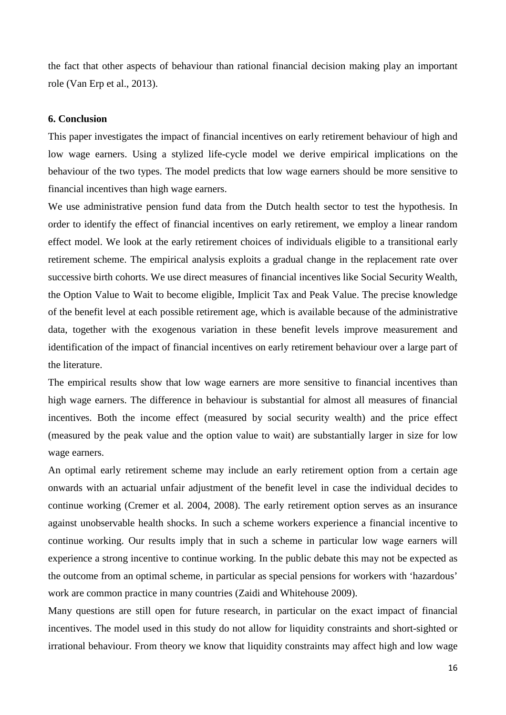the fact that other aspects of behaviour than rational financial decision making play an important role (Van Erp et al., 2013).

#### **6. Conclusion**

This paper investigates the impact of financial incentives on early retirement behaviour of high and low wage earners. Using a stylized life-cycle model we derive empirical implications on the behaviour of the two types. The model predicts that low wage earners should be more sensitive to financial incentives than high wage earners.

We use administrative pension fund data from the Dutch health sector to test the hypothesis. In order to identify the effect of financial incentives on early retirement, we employ a linear random effect model. We look at the early retirement choices of individuals eligible to a transitional early retirement scheme. The empirical analysis exploits a gradual change in the replacement rate over successive birth cohorts. We use direct measures of financial incentives like Social Security Wealth, the Option Value to Wait to become eligible, Implicit Tax and Peak Value. The precise knowledge of the benefit level at each possible retirement age, which is available because of the administrative data, together with the exogenous variation in these benefit levels improve measurement and identification of the impact of financial incentives on early retirement behaviour over a large part of the literature.

The empirical results show that low wage earners are more sensitive to financial incentives than high wage earners. The difference in behaviour is substantial for almost all measures of financial incentives. Both the income effect (measured by social security wealth) and the price effect (measured by the peak value and the option value to wait) are substantially larger in size for low wage earners.

An optimal early retirement scheme may include an early retirement option from a certain age onwards with an actuarial unfair adjustment of the benefit level in case the individual decides to continue working (Cremer et al. 2004, 2008). The early retirement option serves as an insurance against unobservable health shocks. In such a scheme workers experience a financial incentive to continue working. Our results imply that in such a scheme in particular low wage earners will experience a strong incentive to continue working. In the public debate this may not be expected as the outcome from an optimal scheme, in particular as special pensions for workers with 'hazardous' work are common practice in many countries (Zaidi and Whitehouse 2009).

Many questions are still open for future research, in particular on the exact impact of financial incentives. The model used in this study do not allow for liquidity constraints and short-sighted or irrational behaviour. From theory we know that liquidity constraints may affect high and low wage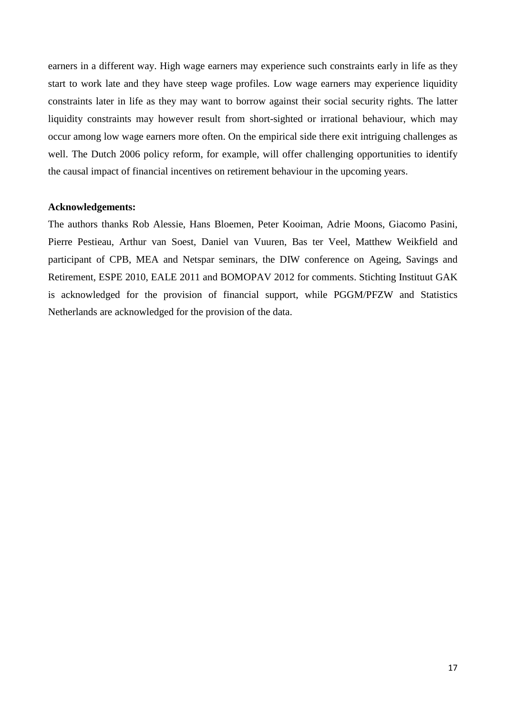earners in a different way. High wage earners may experience such constraints early in life as they start to work late and they have steep wage profiles. Low wage earners may experience liquidity constraints later in life as they may want to borrow against their social security rights. The latter liquidity constraints may however result from short-sighted or irrational behaviour, which may occur among low wage earners more often. On the empirical side there exit intriguing challenges as well. The Dutch 2006 policy reform, for example, will offer challenging opportunities to identify the causal impact of financial incentives on retirement behaviour in the upcoming years.

#### **Acknowledgements:**

The authors thanks Rob Alessie, Hans Bloemen, Peter Kooiman, Adrie Moons, Giacomo Pasini, Pierre Pestieau, Arthur van Soest, Daniel van Vuuren, Bas ter Veel, Matthew Weikfield and participant of CPB, MEA and Netspar seminars, the DIW conference on Ageing, Savings and Retirement, ESPE 2010, EALE 2011 and BOMOPAV 2012 for comments. Stichting Instituut GAK is acknowledged for the provision of financial support, while PGGM/PFZW and Statistics Netherlands are acknowledged for the provision of the data.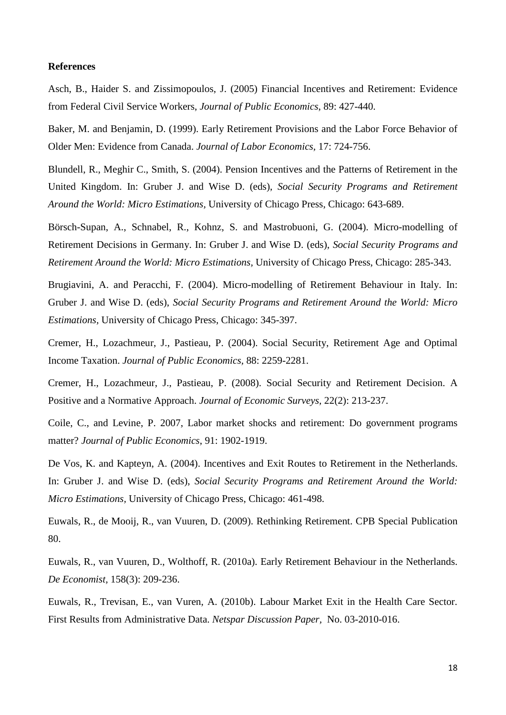#### **References**

Asch, B., Haider S. and Zissimopoulos, J. (2005) Financial Incentives and Retirement: Evidence from Federal Civil Service Workers, *Journal of Public Economics*, 89: 427-440.

Baker, M. and Benjamin, D. (1999). Early Retirement Provisions and the Labor Force Behavior of Older Men: Evidence from Canada. *Journal of Labor Economics,* 17: 724-756.

Blundell, R., Meghir C., Smith, S. (2004). Pension Incentives and the Patterns of Retirement in the United Kingdom. In: Gruber J. and Wise D. (eds), *Social Security Programs and Retirement Around the World: Micro Estimations,* University of Chicago Press, Chicago: 643-689.

Börsch-Supan, A., Schnabel, R., Kohnz, S. and Mastrobuoni, G. (2004). Micro-modelling of Retirement Decisions in Germany. In: Gruber J. and Wise D. (eds), *Social Security Programs and Retirement Around the World: Micro Estimations,* University of Chicago Press, Chicago: 285-343.

Brugiavini, A. and Peracchi, F. (2004). Micro-modelling of Retirement Behaviour in Italy. In: Gruber J. and Wise D. (eds), *Social Security Programs and Retirement Around the World: Micro Estimations,* University of Chicago Press, Chicago: 345-397.

Cremer, H., Lozachmeur, J., Pastieau, P. (2004). Social Security, Retirement Age and Optimal Income Taxation. *Journal of Public Economics,* 88: 2259-2281.

Cremer, H., Lozachmeur, J., Pastieau, P. (2008). Social Security and Retirement Decision. A Positive and a Normative Approach. *Journal of Economic Surveys,* 22(2): 213-237.

Coile, C., and Levine, P. 2007, Labor market shocks and retirement: Do government programs matter? *Journal of Public Economics*, 91: 1902-1919.

De Vos, K. and Kapteyn, A. (2004). Incentives and Exit Routes to Retirement in the Netherlands. In: Gruber J. and Wise D. (eds), *Social Security Programs and Retirement Around the World: Micro Estimations,* University of Chicago Press, Chicago: 461-498.

Euwals, R., de Mooij, R., van Vuuren, D. (2009). Rethinking Retirement. CPB Special Publication 80.

Euwals, R., van Vuuren, D., Wolthoff, R. (2010a). Early Retirement Behaviour in the Netherlands. *De Economist,* 158(3): 209-236.

Euwals, R., Trevisan, E., van Vuren, A. (2010b). Labour Market Exit in the Health Care Sector. First Results from Administrative Data. *Netspar Discussion Paper,* No. 03-2010-016.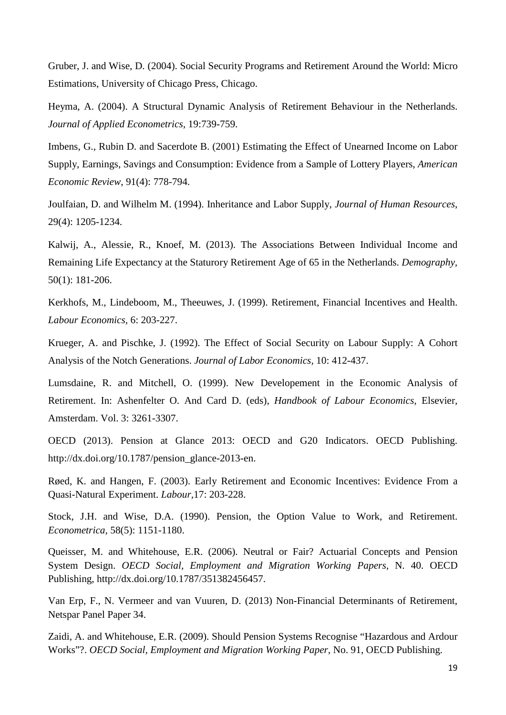Gruber, J. and Wise, D. (2004). Social Security Programs and Retirement Around the World: Micro Estimations, University of Chicago Press, Chicago.

Heyma, A. (2004). A Structural Dynamic Analysis of Retirement Behaviour in the Netherlands. *Journal of Applied Econometrics,* 19:739-759.

Imbens, G., Rubin D. and Sacerdote B. (2001) Estimating the Effect of Unearned Income on Labor Supply, Earnings, Savings and Consumption: Evidence from a Sample of Lottery Players, *American Economic Review*, 91(4): 778-794.

Joulfaian, D. and Wilhelm M. (1994). Inheritance and Labor Supply, *Journal of Human Resources*, 29(4): 1205-1234.

Kalwij, A., Alessie, R., Knoef, M. (2013). The Associations Between Individual Income and Remaining Life Expectancy at the Staturory Retirement Age of 65 in the Netherlands. *Demography,*  50(1): 181-206.

Kerkhofs, M., Lindeboom, M., Theeuwes, J. (1999). Retirement, Financial Incentives and Health. *Labour Economics,* 6: 203-227.

Krueger, A. and Pischke, J. (1992). The Effect of Social Security on Labour Supply: A Cohort Analysis of the Notch Generations. *Journal of Labor Economics,* 10: 412-437.

Lumsdaine, R. and Mitchell, O. (1999). New Developement in the Economic Analysis of Retirement. In: Ashenfelter O. And Card D. (eds), *Handbook of Labour Economics,* Elsevier, Amsterdam. Vol. 3: 3261-3307.

OECD (2013). Pension at Glance 2013: OECD and G20 Indicators. OECD Publishing. http://dx.doi.org/10.1787/pension\_glance-2013-en.

Røed, K. and Hangen, F. (2003). Early Retirement and Economic Incentives: Evidence From a Quasi-Natural Experiment. *Labour,*17: 203-228.

Stock, J.H. and Wise, D.A. (1990). Pension, the Option Value to Work, and Retirement. *Econometrica,* 58(5): 1151-1180.

Queisser, M. and Whitehouse, E.R. (2006). Neutral or Fair? Actuarial Concepts and Pension System Design. *OECD Social, Employment and Migration Working Papers,* N. 40. OECD Publishing, http://dx.doi.org/10.1787/351382456457.

Van Erp, F., N. Vermeer and van Vuuren, D. (2013) Non-Financial Determinants of Retirement, Netspar Panel Paper 34.

Zaidi, A. and Whitehouse, E.R. (2009). Should Pension Systems Recognise "Hazardous and Ardour Works"?. *OECD Social, Employment and Migration Working Paper,* No. 91, OECD Publishing.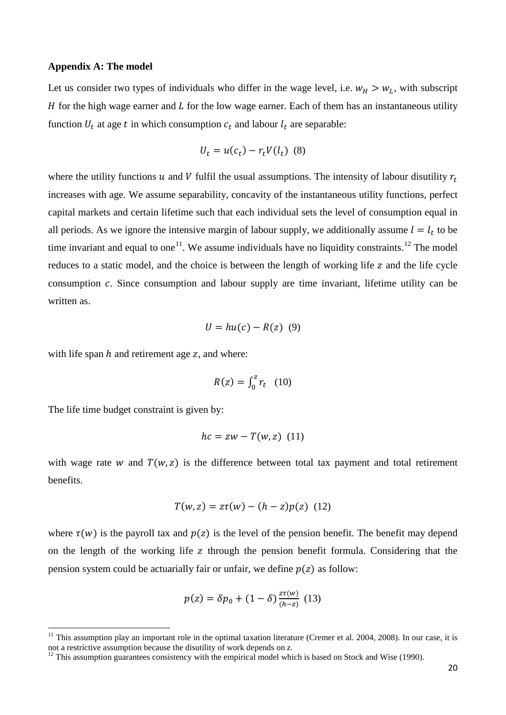#### **Appendix A: The model**

Let us consider two types of individuals who differ in the wage level, i.e.  $w_H > w_L$ , with subscript  $H$  for the high wage earner and  $L$  for the low wage earner. Each of them has an instantaneous utility function  $U_t$  at age t in which consumption  $c_t$  and labour  $l_t$  are separable:

$$
U_t = u(c_t) - r_t V(l_t)
$$
 (8)

where the utility functions  $u$  and  $V$  fulfil the usual assumptions. The intensity of labour disutility  $r_t$ increases with age. We assume separability, concavity of the instantaneous utility functions, perfect capital markets and certain lifetime such that each individual sets the level of consumption equal in all periods. As we ignore the intensive margin of labour supply, we additionally assume  $l = l_t$  to be time invariant and equal to one<sup>11</sup>. We assume individuals have no liquidity constraints.<sup>[12](#page-21-0)</sup> The model reduces to a static model, and the choice is between the length of working life z and the life cycle consumption  $c$ . Since consumption and labour supply are time invariant, lifetime utility can be written as.

$$
U = hu(c) - R(z) \quad (9)
$$

with life span  $h$  and retirement age  $z$ , and where:

$$
R(z) = \int_0^z r_t \quad (10)
$$

The life time budget constraint is given by:

$$
hc = zw - T(w, z) \ (11)
$$

with wage rate w and  $T(w, z)$  is the difference between total tax payment and total retirement benefits.

$$
T(w, z) = z\tau(w) - (h - z)p(z)
$$
 (12)

where  $\tau(w)$  is the payroll tax and  $p(z)$  is the level of the pension benefit. The benefit may depend on the length of the working life z through the pension benefit formula. Considering that the pension system could be actuarially fair or unfair, we define  $p(z)$  as follow:

$$
p(z) = \delta p_0 + (1 - \delta) \frac{z \tau(w)}{(h - z)} \tag{13}
$$

<sup>&</sup>lt;sup>11</sup> This assumption play an important role in the optimal taxation literature (Cremer et al. 2004, 2008). In our case, it is not a restrictive assumption because the disutility of work depends on *z*.

<span id="page-21-0"></span><sup>&</sup>lt;sup>12</sup> This assumption guarantees consistency with the empirical model which is based on Stock and Wise (1990).